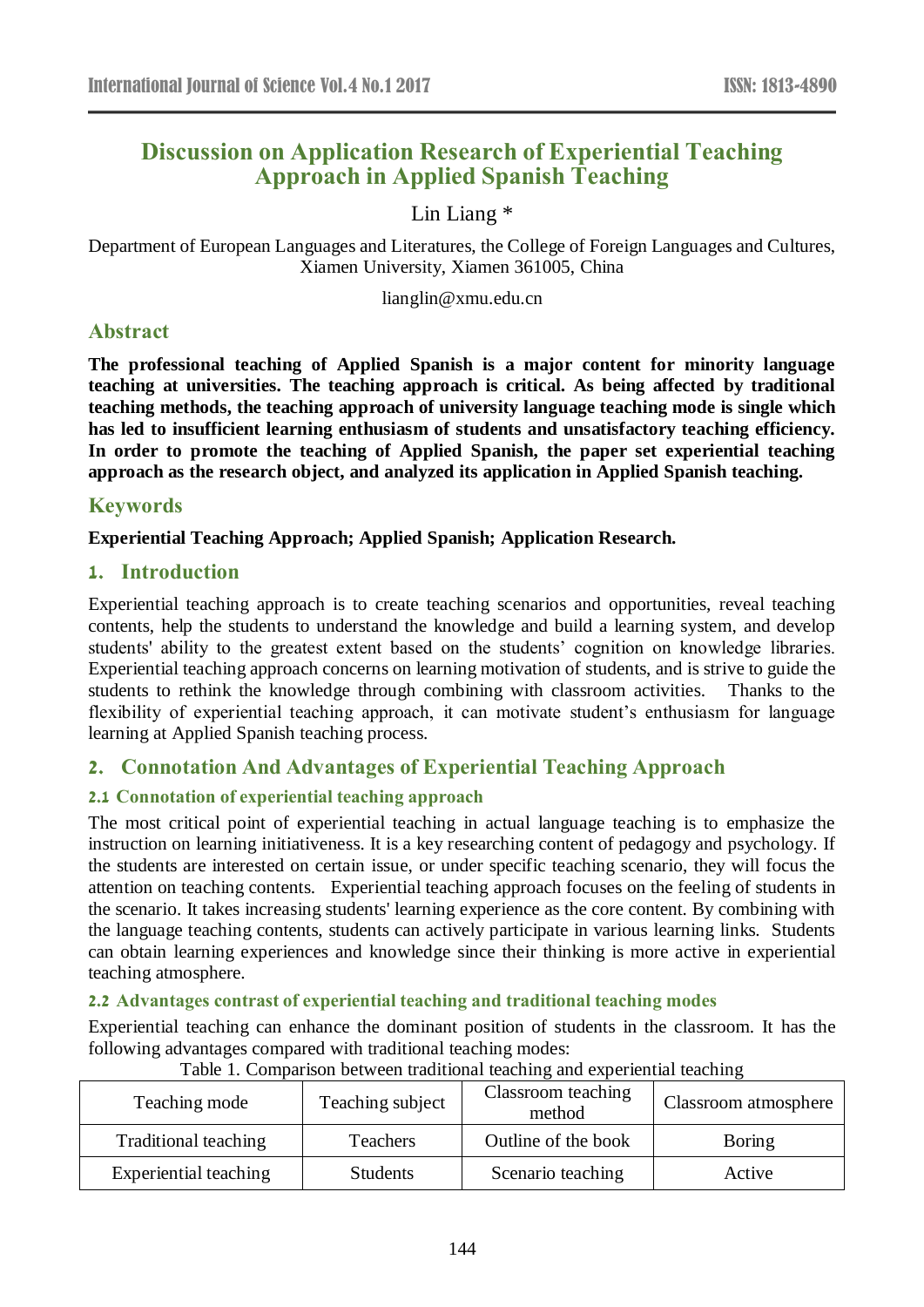# **Discussion on Application Research of Experiential Teaching Approach in Applied Spanish Teaching**

Lin Liang \*

Department of European Languages and Literatures, the College of Foreign Languages and Cultures, Xiamen University, Xiamen 361005, China

lianglin@xmu.edu.cn

## **Abstract**

**The professional teaching of Applied Spanish is a major content for minority language teaching at universities. The teaching approach is critical. As being affected by traditional teaching methods, the teaching approach of university language teaching mode is single which has led to insufficient learning enthusiasm of students and unsatisfactory teaching efficiency. In order to promote the teaching of Applied Spanish, the paper set experiential teaching approach as the research object, and analyzed its application in Applied Spanish teaching.**

### **Keywords**

**Experiential Teaching Approach; Applied Spanish; Application Research.** 

### **1. Introduction**

Experiential teaching approach is to create teaching scenarios and opportunities, reveal teaching contents, help the students to understand the knowledge and build a learning system, and develop students' ability to the greatest extent based on the students' cognition on knowledge libraries. Experiential teaching approach concerns on learning motivation of students, and is strive to guide the students to rethink the knowledge through combining with classroom activities. Thanks to the flexibility of experiential teaching approach, it can motivate student's enthusiasm for language learning at Applied Spanish teaching process.

## **2. Connotation And Advantages of Experiential Teaching Approach**

### **2.1 Connotation of experiential teaching approach**

The most critical point of experiential teaching in actual language teaching is to emphasize the instruction on learning initiativeness. It is a key researching content of pedagogy and psychology. If the students are interested on certain issue, or under specific teaching scenario, they will focus the attention on teaching contents. Experiential teaching approach focuses on the feeling of students in the scenario. It takes increasing students' learning experience as the core content. By combining with the language teaching contents, students can actively participate in various learning links. Students can obtain learning experiences and knowledge since their thinking is more active in experiential teaching atmosphere.

### **2.2 Advantages contrast of experiential teaching and traditional teaching modes**

Experiential teaching can enhance the dominant position of students in the classroom. It has the following advantages compared with traditional teaching modes:

| Teaching mode               | Teaching subject | Classroom teaching<br>method | Classroom atmosphere |
|-----------------------------|------------------|------------------------------|----------------------|
| <b>Traditional teaching</b> | <b>Teachers</b>  | Outline of the book          | Boring               |
| Experiential teaching       | <b>Students</b>  | Scenario teaching            | Active               |

#### Table 1. Comparison between traditional teaching and experiential teaching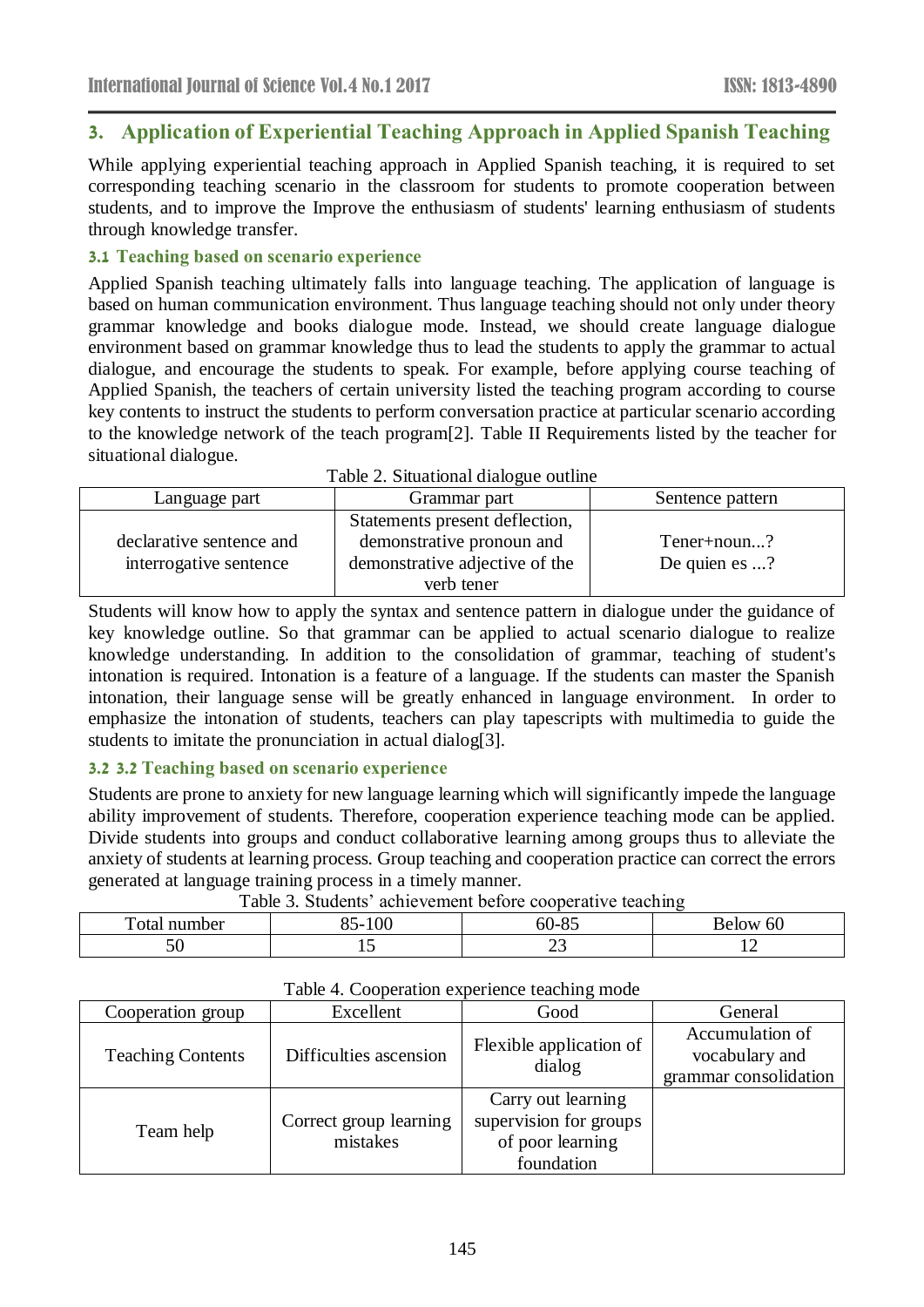## **3. Application of Experiential Teaching Approach in Applied Spanish Teaching**

While applying experiential teaching approach in Applied Spanish teaching, it is required to set corresponding teaching scenario in the classroom for students to promote cooperation between students, and to improve the Improve the enthusiasm of students' learning enthusiasm of students through knowledge transfer.

### **3.1 Teaching based on scenario experience**

Applied Spanish teaching ultimately falls into language teaching. The application of language is based on human communication environment. Thus language teaching should not only under theory grammar knowledge and books dialogue mode. Instead, we should create language dialogue environment based on grammar knowledge thus to lead the students to apply the grammar to actual dialogue, and encourage the students to speak. For example, before applying course teaching of Applied Spanish, the teachers of certain university listed the teaching program according to course key contents to instruct the students to perform conversation practice at particular scenario according to the knowledge network of the teach program[2]. Table II Requirements listed by the teacher for situational dialogue.

| Language part            | Grammar part                   | Sentence pattern |
|--------------------------|--------------------------------|------------------|
|                          | Statements present deflection, |                  |
| declarative sentence and | demonstrative pronoun and      | Tener+noun?      |
| interrogative sentence   | demonstrative adjective of the | De quien es ?    |
|                          | verb tener                     |                  |

Students will know how to apply the syntax and sentence pattern in dialogue under the guidance of key knowledge outline. So that grammar can be applied to actual scenario dialogue to realize knowledge understanding. In addition to the consolidation of grammar, teaching of student's intonation is required. Intonation is a feature of a language. If the students can master the Spanish intonation, their language sense will be greatly enhanced in language environment. In order to emphasize the intonation of students, teachers can play tapescripts with multimedia to guide the students to imitate the pronunciation in actual dialog[3].

### **3.2 3.2 Teaching based on scenario experience**

Students are prone to anxiety for new language learning which will significantly impede the language ability improvement of students. Therefore, cooperation experience teaching mode can be applied. Divide students into groups and conduct collaborative learning among groups thus to alleviate the anxiety of students at learning process. Group teaching and cooperation practice can correct the errors generated at language training process in a timely manner. Table 3. Students' achievement before cooperative teaching

| Table 5. Students active vehicle before cooperative teaching |            |      |          |  |
|--------------------------------------------------------------|------------|------|----------|--|
| Total number                                                 | 100<br>55- | ነሀ-አ | Below 60 |  |
|                                                              | ∸          | ~~   |          |  |

| raone i. Cooperation experience teaching mode |                                    |                                                                                |                                                            |  |
|-----------------------------------------------|------------------------------------|--------------------------------------------------------------------------------|------------------------------------------------------------|--|
| Cooperation group                             | Excellent                          | Good                                                                           | General                                                    |  |
| <b>Teaching Contents</b>                      | Difficulties ascension             | Flexible application of<br>dialog                                              | Accumulation of<br>vocabulary and<br>grammar consolidation |  |
| Team help                                     | Correct group learning<br>mistakes | Carry out learning<br>supervision for groups<br>of poor learning<br>foundation |                                                            |  |

Table 4. Cooperation experience teaching mode